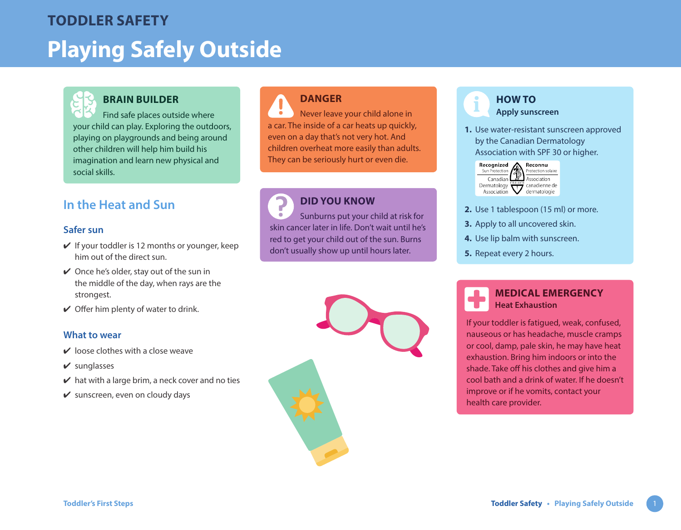# **Playing Safely Outside TODDLER SAFETY**



# **BRAIN BUILDER**

Find safe places outside where your child can play. Exploring the outdoors, playing on playgrounds and being around other children will help him build his imagination and learn new physical and social skills.

# **In the Heat and Sun**

#### **Safer sun**

- $\vee$  If your toddler is 12 months or younger, keep him out of the direct sun.
- $\vee$  Once he's older, stay out of the sun in the middle of the day, when rays are the strongest.
- $\vee$  Offer him plenty of water to drink.

#### **What to wear**

- $\vee$  loose clothes with a close weave
- $\vee$  sunglasses
- $\vee$  hat with a large brim, a neck cover and no ties
- $\mathbf y$  sunscreen, even on cloudy days

# **DANGER**

Never leave your child alone in a car. The inside of a car heats up quickly, even on a day that's not very hot. And children overheat more easily than adults. They can be seriously hurt or even die.

# **DID YOU KNOW**

Sunburns put your child at risk for  $\bullet$ skin cancer later in life. Don't wait until he's red to get your child out of the sun. Burns don't usually show up until hours later.



# **HOW TO Apply sunscreen**

**1.** Use water-resistant sunscreen approved by the Canadian Dermatology Association with SPF 30 or higher.



- **2.** Use 1 tablespoon (15 ml) or more.
- **3.** Apply to all uncovered skin.
- **4.** Use lip balm with sunscreen.
- **5.** Repeat every 2 hours.

#### **MEDICAL EMERGENCY Heat Exhaustion**

If your toddler is fatigued, weak, confused, nauseous or has headache, muscle cramps or cool, damp, pale skin, he may have heat exhaustion. Bring him indoors or into the shade. Take off his clothes and give him a cool bath and a drink of water. If he doesn't improve or if he vomits, contact your health care provider.